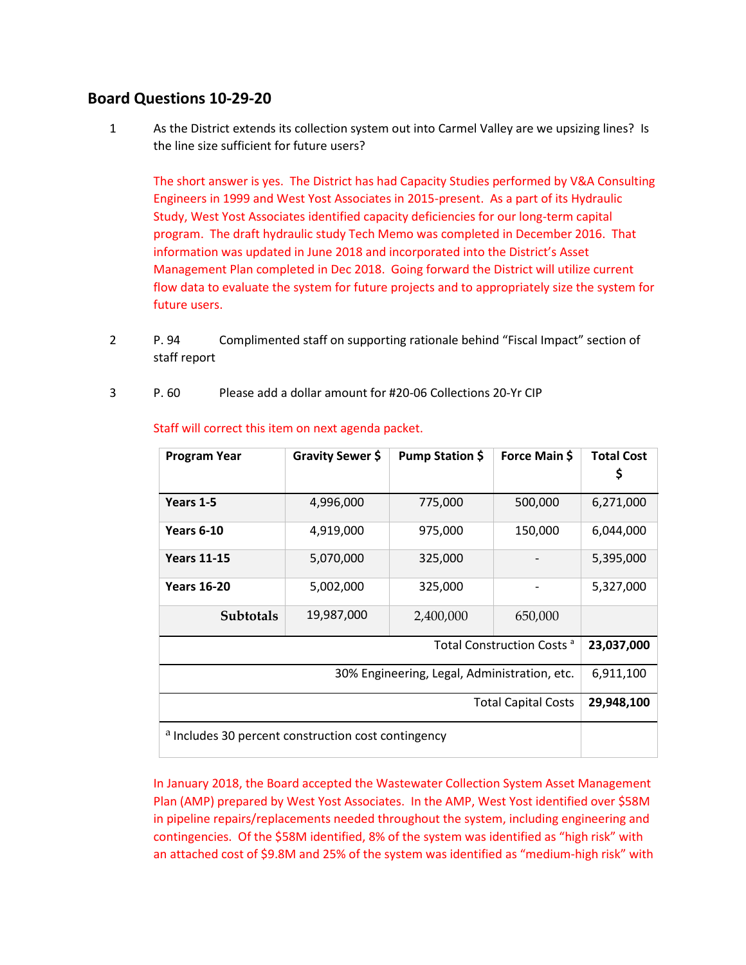## **Board Questions 10-29-20**

1 As the District extends its collection system out into Carmel Valley are we upsizing lines? Is the line size sufficient for future users?

The short answer is yes. The District has had Capacity Studies performed by V&A Consulting Engineers in 1999 and West Yost Associates in 2015-present. As a part of its Hydraulic Study, West Yost Associates identified capacity deficiencies for our long-term capital program. The draft hydraulic study Tech Memo was completed in December 2016. That information was updated in June 2018 and incorporated into the District's Asset Management Plan completed in Dec 2018. Going forward the District will utilize current flow data to evaluate the system for future projects and to appropriately size the system for future users.

- 2 P. 94 Complimented staff on supporting rationale behind "Fiscal Impact" section of staff report
- 3 P. 60 Please add a dollar amount for #20-06 Collections 20-Yr CIP

| Program Year                                                   | Gravity Sewer \$ | Pump Station \$ | Force Main \$ | <b>Total Cost</b> |
|----------------------------------------------------------------|------------------|-----------------|---------------|-------------------|
| Years 1-5                                                      | 4,996,000        | 775,000         | 500,000       | 6,271,000         |
| <b>Years 6-10</b>                                              | 4,919,000        | 975,000         | 150,000       | 6,044,000         |
| <b>Years 11-15</b>                                             | 5,070,000        | 325,000         |               | 5,395,000         |
| <b>Years 16-20</b>                                             | 5,002,000        | 325,000         |               | 5,327,000         |
| <b>Subtotals</b>                                               | 19,987,000       | 2,400,000       | 650,000       |                   |
| Total Construction Costs <sup>a</sup>                          |                  |                 |               | 23,037,000        |
| 30% Engineering, Legal, Administration, etc.                   |                  |                 |               | 6,911,100         |
| <b>Total Capital Costs</b>                                     |                  |                 |               | 29,948,100        |
| <sup>a</sup> Includes 30 percent construction cost contingency |                  |                 |               |                   |

## Staff will correct this item on next agenda packet.

In January 2018, the Board accepted the Wastewater Collection System Asset Management Plan (AMP) prepared by West Yost Associates. In the AMP, West Yost identified over \$58M in pipeline repairs/replacements needed throughout the system, including engineering and contingencies. Of the \$58M identified, 8% of the system was identified as "high risk" with an attached cost of \$9.8M and 25% of the system was identified as "medium-high risk" with